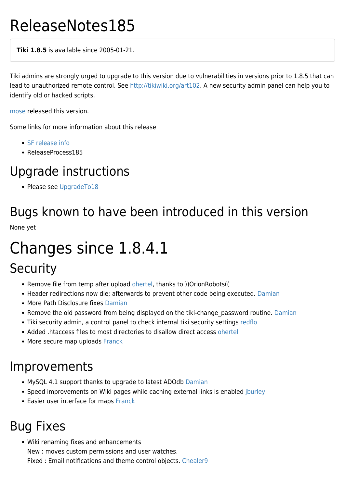# ReleaseNotes185

**Tiki 1.8.5** is available since 2005-01-21.

Tiki admins are strongly urged to upgrade to this version due to vulnerabilities in versions prior to 1.8.5 that can lead to unauthorized remote control. See <http://tikiwiki.org/art102>. A new security admin panel can help you to identify old or hacked scripts.

[mose](https://tiki.org/mose) released this version.

Some links for more information about this release

- [SF release info](http://sourceforge.net/project/showfiles.php?group_id=64258&package_id=112133&release_id=298618)
- ReleaseProcess185

### Upgrade instructions

• Please see [UpgradeTo18](https://tiki.org/UpgradeTo18)

## Bugs known to have been introduced in this version

None yet

## Changes since 1.8.4.1

#### **Security**

- Remove file from temp after upload [ohertel](https://tiki.org/ohertel), thanks to ))OrionRobots((
- Header redirections now die; afterwards to prevent other code being executed. [Damian](https://tiki.org/Damian)
- More Path Disclosure fixes [Damian](https://tiki.org/Damian)
- Remove the old password from being displayed on the tiki-change password routine. [Damian](https://tiki.org/Damian)
- Tiki security admin, a control panel to check internal tiki security settings [redflo](https://tiki.org/UserPageredflo)
- Added .htaccess files to most directories to disallow direct access [ohertel](https://tiki.org/ohertel)
- More secure map uploads [Franck](https://tiki.org/Franck)

#### Improvements

- MySQL 4.1 support thanks to upgrade to latest ADOdb [Damian](https://tiki.org/Damian)
- Speed improvements on Wiki pages while caching external links is enabled [jburley](https://tiki.org/jburley)
- Easier user interface for maps [Franck](https://tiki.org/Franck)

### Bug Fixes

Wiki renaming fixes and enhancements New : moves custom permissions and user watches. Fixed : Email notifications and theme control objects. [Chealer9](https://tiki.org/UserPageChealer9)